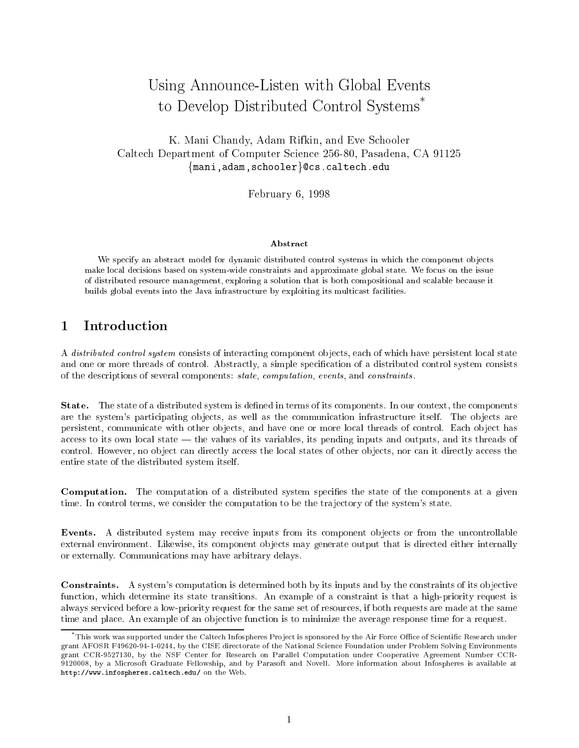# Using Announce-Listen with Global Events to Develop Distributed Control Systems\*

K. Mani Chandy, Adam Rifkin, and Eve Schooler Caltech Department of Computer Science 256-80, Pasadena, CA 91125  $\{$ mani,adam,schooler $\}$ @cs.caltech.edu

February 6, 1998

# Abstract

We specify an abstract model for dynamic distributed control systems in which the component ob jects make local decisions based on system-wide constraints and approximate global state. We focus on the issue of distributed resource management, exploring <sup>a</sup> solution that is both compositional and scalable because it builds global events into the Java infrastructure by exploiting its multicast facilities.

## **Introduction** 1

A *distributed control system* consists of interacting component objects, each of which have persistent local state and one or more threads of control. Abstractly, a simple specification of a distributed control system consists of the descriptions of several components: state, computation, events, and constraints .

**State.** The state of a distributed system is defined in terms of its components. In our context, the components are the system's participating objects, as well as the communication infrastructure itself. The objects are persistent, communicate with other objects, and have one or more local threads of control. Each object has access to its own local state — the values of its variables, its pending inputs and outputs, and its threads of control. However, no object can directly access the local states of other objects, nor can it directly access the entire state of the distributed system itself.

**Computation.** The computation of a distributed system specifies the state of the components at a given time. In control terms, we consider the computation to be the tra jectory of the system's state.

Events. A distributed system may receive inputs from its component ob jects or from the uncontrollable external environment. Likewise, its component objects may generate output that is directed either internally or externally. Communications may have arbitrary delays.

Constraints. A system's computation is determined both by its inputs and by the constraints of its ob jective function, which determine its state transitions. An example of a constraint is that a high-priority request is always serviced before a low-priority request for the same set of resources, if both requests are made at the same time and place. An example of an objective function is to minimize the average response time for a request.

 $^\ast$ This work was supported under the Caltech Infospheres Project is sponsored by the Air Force Office of Scientific Research under grant AFOSR F49620-94-1-0244, by the CISE directorate of the National Science Foundation under Problem Solving Environments grant CCR-9527130, by the NSF Center for Research on Parallel Computation under Cooperative Agreement Number CCR-9120008, by a Microsoft Graduate Fellowship, and by Parasoft and Novell. More information about Infospheres is available at http://www.infospheres.caltech.edu/ on the Web.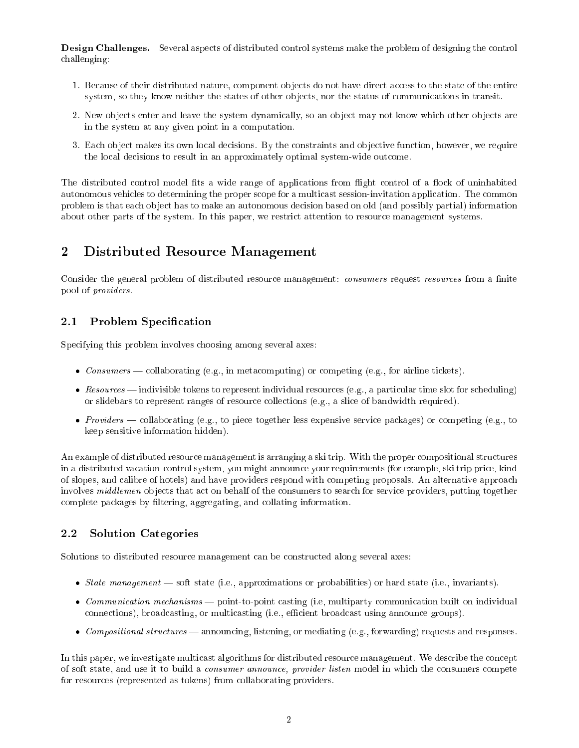Design Challenges. Several aspects of distributed control systems make the problem of designing the control challenging:

- 1. Because of their distributed nature, component ob jects do not have direct access to the state of the entire system, so they know neither the states of other ob jects, nor the status of communications in transit.
- 2. New ob jects enter and leave the system dynamically, so an ob ject may not know which other ob jects are in the system at any given point in a computation.
- 3. Each object makes its own local decisions. By the constraints and objective function, however, we require the local decisions to result in an approximately optimal system-wide outcome.

The distributed control model fits a wide range of applications from flight control of a flock of uninhabited autonomous vehicles to determining the proper scope for a multicast session-invitation application. The common problem is that each ob ject has to make an autonomous decision based on old (and possibly partial) information about other parts of the system. In this paper, we restrict attention to resource management systems.

# $\overline{2}$ Distributed Resource Management

Consider the general problem of distributed resource management: *consumers* request resources from a finite pool of providers.

## $2.1$ Problem Specification

Specifying this problem involves choosing among several axes:

- Consumers collaborating (e.g., in metacomputing) or competing (e.g., for airline tickets).
- Resources indivisible tokens to represent individual resources (e.g., a particular time slot for scheduling) or slidebars to represent ranges of resource collections (e.g., a slice of bandwidth required).
- Providers collaborating (e.g., to piece together less expensive service packages) or competing (e.g., to keep sensitive information hidden).

An example of distributed resource management is arranging a ski trip. With the proper compositional structures in a distributed vacation-control system, you might announce your requirements (for example, ski trip price, kind of slopes, and calibre of hotels) and have providers respond with competing proposals. An alternative approach involves *middlemen* objects that act on behalf of the consumers to search for service providers, putting together complete packages by filtering, aggregating, and collating information.

### $2.2$ **Solution Categories**

Solutions to distributed resource management can be constructed along several axes:

- State management  $-$  soft state (i.e., approximations or probabilities) or hard state (i.e., invariants).
- *Communication mechanisms*  $\rightarrow$  point-to-point casting (i.e, multiparty communication built on individual connections), broadcasting, or multicasting (i.e., efficient broadcast using announce groups).
- Compositional structures announcing, listening, or mediating (e.g., forwarding) requests and responses.

In this paper, we investigate multicast algorithms for distributed resource management. We describe the concept of soft state, and use it to build a consumer announce, provider listen model in which the consumers compete for resources (represented as tokens) from collaborating providers.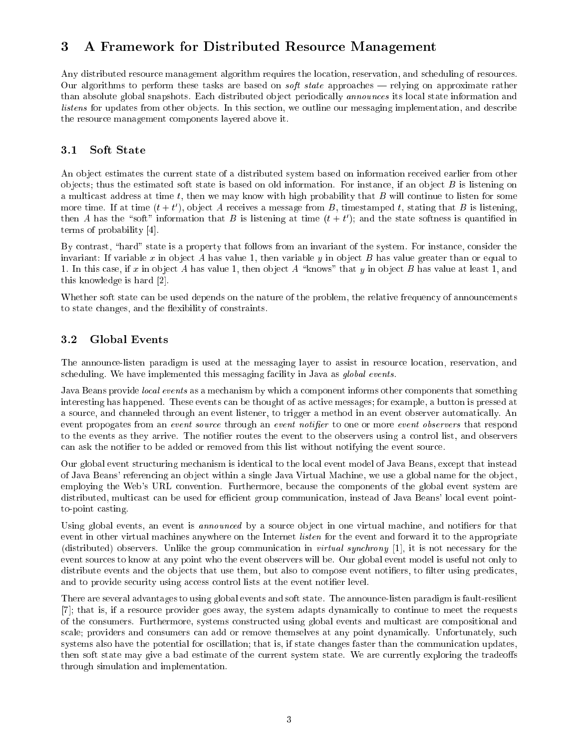# 3 A Framework for Distributed Resource Management 3

Any distributed resource management algorithm requires the location, reservation, and scheduling of resources. Our algorithms to perform these tasks are based on *soft state* approaches  $-$  relying on approximate rather than absolute global snapshots. Each distributed object periodically *announces* its local state information and listens for updates from other ob jects. In this section, we outline our messaging implementation, and describe the resource management components layered above it.

#### $3.1$ Soft State

An ob ject estimates the current state of a distributed system based on information received earlier from other objects; thus the estimated soft state is based on old information. For instance, if an object  $B$  is listening on a multicast address at time  $t$ , then we may know with high probability that  $B$  will continue to listen for some more time. If at time  $(t + t')$ , object A receives a message from B, timestamped t, stating that B is listening, then A has the "soft" information that B is listening at time  $(t + t')$ ; and the state softness is quantified in terms of probability [4].

By contrast, "hard" state is a property that follows from an invariant of the system. For instance, consider the invariant: If variable x in object A has value 1, then variable y in object B has value greater than or equal to 1. In this case, if x in object A has value 1, then object A "knows" that y in object B has value at least 1, and this knowledge is hard [2].

Whether soft state can be used depends on the nature of the problem, the relative frequency of announcements to state changes, and the flexibility of constraints.

#### $3.2$ **Global Events**

The announce-listen paradigm is used at the messaging layer to assist in resource location, reservation, and scheduling. We have implemented this messaging facility in Java as *global events*.

Java Beans provide local events as a mechanism by which a component informs other components that something interesting has happened. These events can be thought of as active messages; for example, a button is pressed at a source, and channeled through an event listener, to trigger a method in an event observer automatically. An event propogates from an event source through an event notifier to one or more event observers that respond to the events as they arrive. The notifier routes the event to the observers using a control list, and observers can ask the notifier to be added or removed from this list without notifying the event source.

Our global event structuring mechanism is identical to the local event model of Java Beans, except that instead of Java Beans' referencing an ob ject within a single Java Virtual Machine, we use a global name for the ob ject, employing the Web's URL convention. Furthermore, because the components of the global event system are distributed, multicast can be used for efficient group communication, instead of Java Beans' local event pointto-point casting.

Using global events, an event is *announced* by a source object in one virtual machine, and notifiers for that event in other virtual machines anywhere on the Internet listen for the event and forward it to the appropriate (distributed) observers. Unlike the group communication in virtual synchrony [1], it is not necessary for the event sources to know at any point who the event observers will be. Our global event model is useful not only to distribute events and the objects that use them, but also to compose event notifiers, to filter using predicates, and to provide security using access control lists at the event notifier level.

There are several advantages to using global events and soft state. The announce-listen paradigm is fault-resilient [7]; that is, if a resource provider goes away, the system adapts dynamically to continue to meet the requests of the consumers. Furthermore, systems constructed using global events and multicast are compositional and scale; providers and consumers can add or remove themselves at any point dynamically. Unfortunately, such systems also have the potential for oscillation; that is, if state changes faster than the communication updates, then soft state may give a bad estimate of the current system state. We are currently exploring the tradeoffs through simulation and implementation.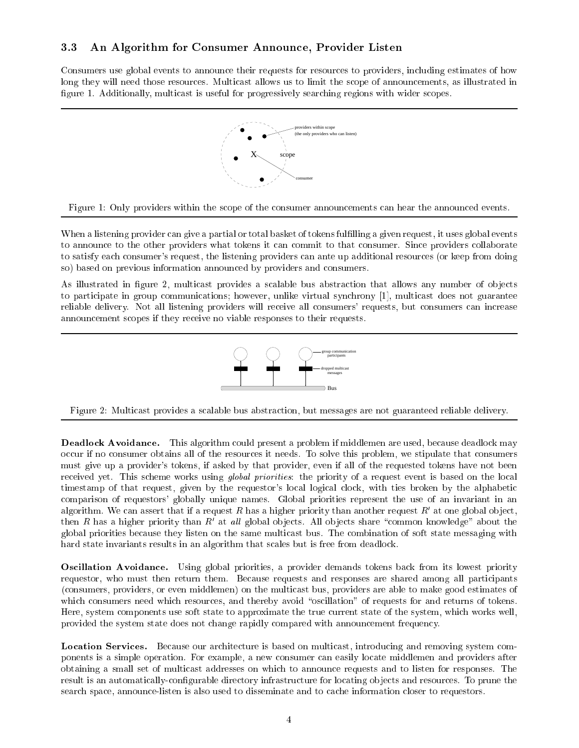#### $3.3$ 3.3 An Algorithm for Consumer Announce, Provider Listen

Consumers use global events to announce their requests for resources to providers, including estimates of how long they will need those resources. Multicast allows us to limit the scope of announcements, as illustrated in figure 1. Additionally, multicast is useful for progressively searching regions with wider scopes.





When a listening provider can give a partial or total basket of tokens fulfilling a given request, it uses global events to announce to the other providers what tokens it can commit to that consumer. Since providers collaborate to satisfy each consumer's request, the listening providers can ante up additional resources (or keep from doing so) based on previous information announced by providers and consumers.

As illustrated in figure 2, multicast provides a scalable bus abstraction that allows any number of objects to participate in group communications; however, unlike virtual synchrony [1], multicast does not guarantee reliable delivery. Not all listening providers will receive all consumers' requests, but consumers can increase announcement scopes if they receive no viable responses to their requests.



Figure 2: Multicast provides a scalable bus abstraction, but messages are not guaranteed reliable delivery.

Deadlock Avoidance. This algorithm could present a problem if middlemen are used, because deadlock may occur if no consumer obtains all of the resources it needs. To solve this problem, we stipulate that consumers must give up a provider's tokens, if asked by that provider, even if all of the requested tokens have not been received yet. This scheme works using *global priorities*: the priority of a request event is based on the local timestamp of that request, given by the requestor's local logical clock, with ties broken by the alphabetic comparison of requestors' globally unique names. Global priorities represent the use of an invariant in an algorithm. We can assert that if a request R has a higher priority than another request R' at one global object, then R has a higher priority than R' at all global objects. All objects share "common knowledge" about the global priorities because they listen on the same multicast bus. The combination of soft state messaging with hard state invariants results in an algorithm that scales but is free from deadlock.

Oscillation Avoidance. Using global priorities, a provider demands tokens back from its lowest priority requestor, who must then return them. Because requests and responses are shared among all participants (consumers, providers, or even middlemen) on the multicast bus, providers are able to make good estimates of which consumers need which resources, and thereby avoid "oscillation" of requests for and returns of tokens. Here, system components use soft state to approximate the true current state of the system, which works well, provided the system state does not change rapidly compared with announcement frequency.

Location Services. Because our architecture is based on multicast, introducing and removing system components is a simple operation. For example, a new consumer can easily locate middlemen and providers after obtaining a small set of multicast addresses on which to announce requests and to listen for responses. The result is an automatically-configurable directory infrastructure for locating objects and resources. To prune the search space, announce-listen is also used to disseminate and to cache information closer to requestors.